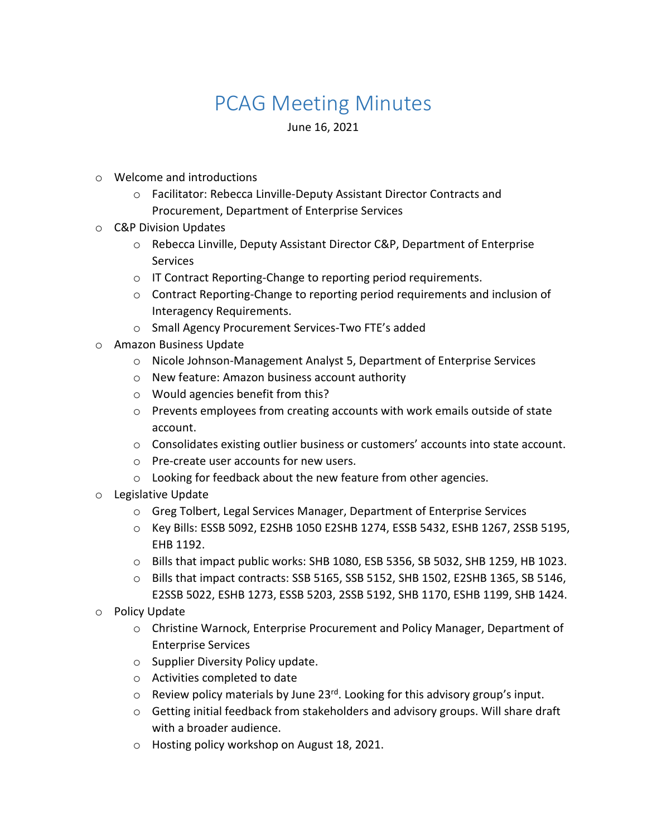## PCAG Meeting Minutes

June 16, 2021

- o Welcome and introductions
	- o Facilitator: Rebecca Linville-Deputy Assistant Director Contracts and Procurement, Department of Enterprise Services
- o C&P Division Updates
	- o Rebecca Linville, Deputy Assistant Director C&P, Department of Enterprise Services
	- o IT Contract Reporting-Change to reporting period requirements.
	- $\circ$  Contract Reporting-Change to reporting period requirements and inclusion of Interagency Requirements.
	- o Small Agency Procurement Services-Two FTE's added
- o Amazon Business Update
	- o Nicole Johnson-Management Analyst 5, Department of Enterprise Services
	- o New feature: Amazon business account authority
	- o Would agencies benefit from this?
	- $\circ$  Prevents employees from creating accounts with work emails outside of state account.
	- o Consolidates existing outlier business or customers' accounts into state account.
	- o Pre-create user accounts for new users.
	- $\circ$  Looking for feedback about the new feature from other agencies.
- o Legislative Update
	- o Greg Tolbert, Legal Services Manager, Department of Enterprise Services
	- o Key Bills: ESSB 5092, E2SHB 1050 E2SHB 1274, ESSB 5432, ESHB 1267, 2SSB 5195, EHB 1192.
	- o Bills that impact public works: SHB 1080, ESB 5356, SB 5032, SHB 1259, HB 1023.
	- o Bills that impact contracts: SSB 5165, SSB 5152, SHB 1502, E2SHB 1365, SB 5146, E2SSB 5022, ESHB 1273, ESSB 5203, 2SSB 5192, SHB 1170, ESHB 1199, SHB 1424.
- o Policy Update
	- o Christine Warnock, Enterprise Procurement and Policy Manager, Department of Enterprise Services
	- o Supplier Diversity Policy update.
	- o Activities completed to date
	- $\circ$  Review policy materials by June 23<sup>rd</sup>. Looking for this advisory group's input.
	- $\circ$  Getting initial feedback from stakeholders and advisory groups. Will share draft with a broader audience.
	- o Hosting policy workshop on August 18, 2021.